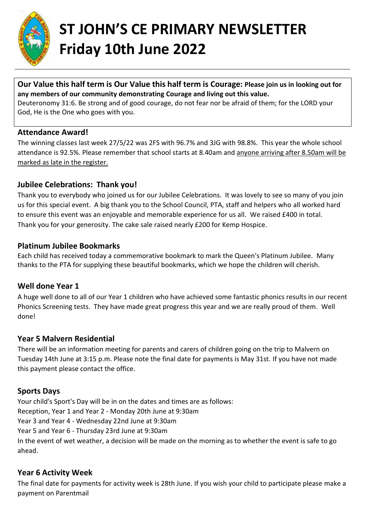

# **ST JOHN'S CE PRIMARY NEWSLETTER Friday 10th June 2022**

#### **Our Value this half term is Our Value this half term is Courage: Please join us in looking out for any members of our community demonstrating Courage and living out this value.**

Deuteronomy 31:6. Be strong and of good courage, do not fear nor be afraid of them; for the LORD your God, He is the One who goes with you.

#### **Attendance Award!**

The winning classes last week 27/5/22 was 2FS with 96.7% and 3JG with 98.8%. This year the whole school attendance is 92.5%. Please remember that school starts at 8.40am and anyone arriving after 8.50am will be marked as late in the register.

### **Jubilee Celebrations: Thank you!**

Thank you to everybody who joined us for our Jubilee Celebrations. It was lovely to see so many of you join us for this special event. A big thank you to the School Council, PTA, staff and helpers who all worked hard to ensure this event was an enjoyable and memorable experience for us all. We raised £400 in total. Thank you for your generosity. The cake sale raised nearly £200 for Kemp Hospice.

#### **Platinum Jubilee Bookmarks**

Each child has received today a commemorative bookmark to mark the Queen's Platinum Jubilee. Many thanks to the PTA for supplying these beautiful bookmarks, which we hope the children will cherish.

# **Well done Year 1**

A huge well done to all of our Year 1 children who have achieved some fantastic phonics results in our recent Phonics Screening tests. They have made great progress this year and we are really proud of them. Well done!

#### **Year 5 Malvern Residential**

There will be an information meeting for parents and carers of children going on the trip to Malvern on Tuesday 14th June at 3:15 p.m. Please note the final date for payments is May 31st. If you have not made this payment please contact the office.

# **Sports Days**

Your child's Sport's Day will be in on the dates and times are as follows: Reception, Year 1 and Year 2 - Monday 20th June at 9:30am Year 3 and Year 4 - Wednesday 22nd June at 9:30am Year 5 and Year 6 - Thursday 23rd June at 9:30am In the event of wet weather, a decision will be made on the morning as to whether the event is safe to go ahead.

# **Year 6 Activity Week**

The final date for payments for activity week is 28th June. If you wish your child to participate please make a payment on Parentmail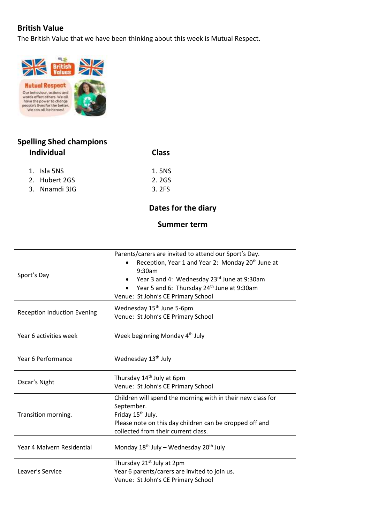### **British Value**

The British Value that we have been thinking about this week is Mutual Respect.



# **Spelling Shed champions Individual Class**

| 1. Isla 5NS   | 1.5NS |
|---------------|-------|
| 2. Hubert 2GS | 2.2GS |
| 3. Nnamdi 31G | 3.2FS |

### **Dates for the diary**

#### **Summer term**

| Sport's Day                        | Parents/carers are invited to attend our Sport's Day.<br>Reception, Year 1 and Year 2: Monday 20 <sup>th</sup> June at<br>9:30am<br>Year 3 and 4: Wednesday 23rd June at 9:30am<br>Year 5 and 6: Thursday 24 <sup>th</sup> June at 9:30am<br>Venue: St John's CE Primary School |
|------------------------------------|---------------------------------------------------------------------------------------------------------------------------------------------------------------------------------------------------------------------------------------------------------------------------------|
| <b>Reception Induction Evening</b> | Wednesday 15 <sup>th</sup> June 5-6pm<br>Venue: St John's CE Primary School                                                                                                                                                                                                     |
| Year 6 activities week             | Week beginning Monday 4 <sup>th</sup> July                                                                                                                                                                                                                                      |
| Year 6 Performance                 | Wednesday 13 <sup>th</sup> July                                                                                                                                                                                                                                                 |
| Oscar's Night                      | Thursday 14 <sup>th</sup> July at 6pm<br>Venue: St John's CE Primary School                                                                                                                                                                                                     |
| Transition morning.                | Children will spend the morning with in their new class for<br>September.<br>Friday 15 <sup>th</sup> July.<br>Please note on this day children can be dropped off and<br>collected from their current class.                                                                    |
| Year 4 Malvern Residential         | Monday $18^{th}$ July – Wednesday $20^{th}$ July                                                                                                                                                                                                                                |
| Leaver's Service                   | Thursday 21 <sup>st</sup> July at 2pm<br>Year 6 parents/carers are invited to join us.<br>Venue: St John's CE Primary School                                                                                                                                                    |